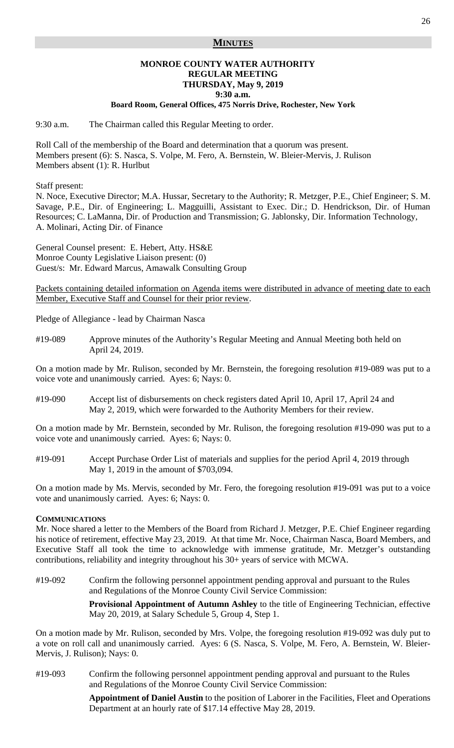#### **MINUTES**

# **MONROE COUNTY WATER AUTHORITY REGULAR MEETING THURSDAY, May 9, 2019**

**9:30 a.m.**

**Board Room, General Offices, 475 Norris Drive, Rochester, New York** 

9:30 a.m. The Chairman called this Regular Meeting to order.

Roll Call of the membership of the Board and determination that a quorum was present. Members present (6): S. Nasca, S. Volpe, M. Fero, A. Bernstein, W. Bleier-Mervis, J. Rulison Members absent (1): R. Hurlbut

Staff present:

N. Noce, Executive Director; M.A. Hussar, Secretary to the Authority; R. Metzger, P.E., Chief Engineer; S. M. Savage, P.E., Dir. of Engineering; L. Magguilli, Assistant to Exec. Dir.; D. Hendrickson, Dir. of Human Resources; C. LaManna, Dir. of Production and Transmission; G. Jablonsky, Dir. Information Technology, A. Molinari, Acting Dir. of Finance

General Counsel present: E. Hebert, Atty. HS&E Monroe County Legislative Liaison present: (0) Guest/s: Mr. Edward Marcus, Amawalk Consulting Group

Packets containing detailed information on Agenda items were distributed in advance of meeting date to each Member, Executive Staff and Counsel for their prior review.

Pledge of Allegiance - lead by Chairman Nasca

#19-089 Approve minutes of the Authority's Regular Meeting and Annual Meeting both held on April 24, 2019.

On a motion made by Mr. Rulison, seconded by Mr. Bernstein, the foregoing resolution #19-089 was put to a voice vote and unanimously carried. Ayes: 6; Nays: 0.

#19-090 Accept list of disbursements on check registers dated April 10, April 17, April 24 and May 2, 2019, which were forwarded to the Authority Members for their review.

On a motion made by Mr. Bernstein, seconded by Mr. Rulison, the foregoing resolution #19-090 was put to a voice vote and unanimously carried. Ayes: 6; Nays: 0.

#19-091 Accept Purchase Order List of materials and supplies for the period April 4, 2019 through May 1, 2019 in the amount of \$703,094.

On a motion made by Ms. Mervis, seconded by Mr. Fero, the foregoing resolution #19-091 was put to a voice vote and unanimously carried. Ayes: 6; Nays: 0.

#### **COMMUNICATIONS**

Mr. Noce shared a letter to the Members of the Board from Richard J. Metzger, P.E. Chief Engineer regarding his notice of retirement, effective May 23, 2019. At that time Mr. Noce, Chairman Nasca, Board Members, and Executive Staff all took the time to acknowledge with immense gratitude, Mr. Metzger's outstanding contributions, reliability and integrity throughout his 30+ years of service with MCWA.

#19-092 Confirm the following personnel appointment pending approval and pursuant to the Rules and Regulations of the Monroe County Civil Service Commission:

> **Provisional Appointment of Autumn Ashley** to the title of Engineering Technician, effective May 20, 2019, at Salary Schedule 5, Group 4, Step 1.

On a motion made by Mr. Rulison, seconded by Mrs. Volpe, the foregoing resolution #19-092 was duly put to a vote on roll call and unanimously carried. Ayes: 6 (S. Nasca, S. Volpe, M. Fero, A. Bernstein, W. Bleier-Mervis, J. Rulison); Nays: 0.

#19-093 Confirm the following personnel appointment pending approval and pursuant to the Rules and Regulations of the Monroe County Civil Service Commission:

> **Appointment of Daniel Austin** to the position of Laborer in the Facilities, Fleet and Operations Department at an hourly rate of \$17.14 effective May 28, 2019.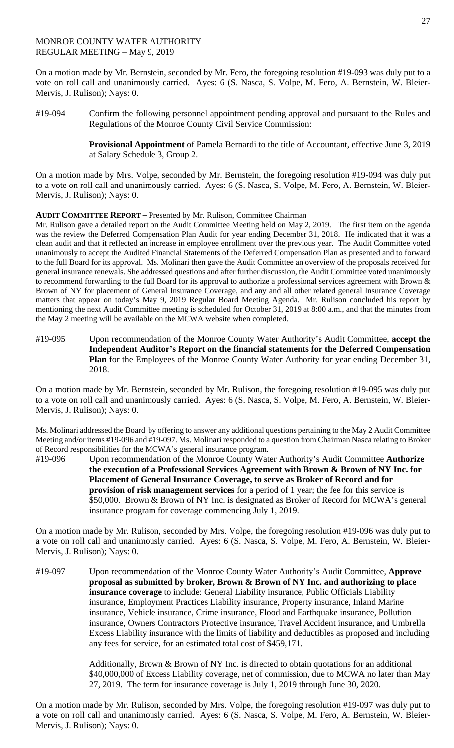# MONROE COUNTY WATER AUTHORITY REGULAR MEETING – May 9, 2019

On a motion made by Mr. Bernstein, seconded by Mr. Fero, the foregoing resolution #19-093 was duly put to a vote on roll call and unanimously carried. Ayes: 6 (S. Nasca, S. Volpe, M. Fero, A. Bernstein, W. Bleier-Mervis, J. Rulison); Nays: 0.

#19-094 Confirm the following personnel appointment pending approval and pursuant to the Rules and Regulations of the Monroe County Civil Service Commission:

> **Provisional Appointment** of Pamela Bernardi to the title of Accountant, effective June 3, 2019 at Salary Schedule 3, Group 2.

On a motion made by Mrs. Volpe, seconded by Mr. Bernstein, the foregoing resolution #19-094 was duly put to a vote on roll call and unanimously carried. Ayes: 6 (S. Nasca, S. Volpe, M. Fero, A. Bernstein, W. Bleier-Mervis, J. Rulison); Nays: 0.

**AUDIT COMMITTEE REPORT –** Presented by Mr. Rulison, Committee Chairman

Mr. Rulison gave a detailed report on the Audit Committee Meeting held on May 2, 2019. The first item on the agenda was the review the Deferred Compensation Plan Audit for year ending December 31, 2018. He indicated that it was a clean audit and that it reflected an increase in employee enrollment over the previous year. The Audit Committee voted unanimously to accept the Audited Financial Statements of the Deferred Compensation Plan as presented and to forward to the full Board for its approval. Ms. Molinari then gave the Audit Committee an overview of the proposals received for general insurance renewals. She addressed questions and after further discussion, the Audit Committee voted unanimously to recommend forwarding to the full Board for its approval to authorize a professional services agreement with Brown & Brown of NY for placement of General Insurance Coverage, and any and all other related general Insurance Coverage matters that appear on today's May 9, 2019 Regular Board Meeting Agenda. Mr. Rulison concluded his report by mentioning the next Audit Committee meeting is scheduled for October 31, 2019 at 8:00 a.m., and that the minutes from the May 2 meeting will be available on the MCWA website when completed.

#19-095 Upon recommendation of the Monroe County Water Authority's Audit Committee, **accept the Independent Auditor's Report on the financial statements for the Deferred Compensation Plan** for the Employees of the Monroe County Water Authority for year ending December 31, 2018.

On a motion made by Mr. Bernstein, seconded by Mr. Rulison, the foregoing resolution #19-095 was duly put to a vote on roll call and unanimously carried. Ayes: 6 (S. Nasca, S. Volpe, M. Fero, A. Bernstein, W. Bleier-Mervis, J. Rulison); Nays: 0.

Ms. Molinari addressed the Board by offering to answer any additional questions pertaining to the May 2 Audit Committee Meeting and/or items #19-096 and #19-097. Ms. Molinari responded to a question from Chairman Nasca relating to Broker of Record responsibilities for the MCWA's general insurance program.

#19-096 Upon recommendation of the Monroe County Water Authority's Audit Committee **Authorize the execution of a Professional Services Agreement with Brown & Brown of NY Inc. for Placement of General Insurance Coverage, to serve as Broker of Record and for provision of risk management services** for a period of 1 year; the fee for this service is \$50,000. Brown & Brown of NY Inc. is designated as Broker of Record for MCWA's general insurance program for coverage commencing July 1, 2019.

On a motion made by Mr. Rulison, seconded by Mrs. Volpe, the foregoing resolution #19-096 was duly put to a vote on roll call and unanimously carried. Ayes: 6 (S. Nasca, S. Volpe, M. Fero, A. Bernstein, W. Bleier-Mervis, J. Rulison); Nays: 0.

#19-097 Upon recommendation of the Monroe County Water Authority's Audit Committee, **Approve proposal as submitted by broker, Brown & Brown of NY Inc. and authorizing to place insurance coverage** to include: General Liability insurance, Public Officials Liability insurance, Employment Practices Liability insurance, Property insurance, Inland Marine insurance, Vehicle insurance, Crime insurance, Flood and Earthquake insurance, Pollution insurance, Owners Contractors Protective insurance, Travel Accident insurance, and Umbrella Excess Liability insurance with the limits of liability and deductibles as proposed and including any fees for service, for an estimated total cost of \$459,171.

> Additionally, Brown & Brown of NY Inc. is directed to obtain quotations for an additional \$40,000,000 of Excess Liability coverage, net of commission, due to MCWA no later than May 27, 2019. The term for insurance coverage is July 1, 2019 through June 30, 2020.

On a motion made by Mr. Rulison, seconded by Mrs. Volpe, the foregoing resolution #19-097 was duly put to a vote on roll call and unanimously carried. Ayes: 6 (S. Nasca, S. Volpe, M. Fero, A. Bernstein, W. Bleier-Mervis, J. Rulison); Nays: 0.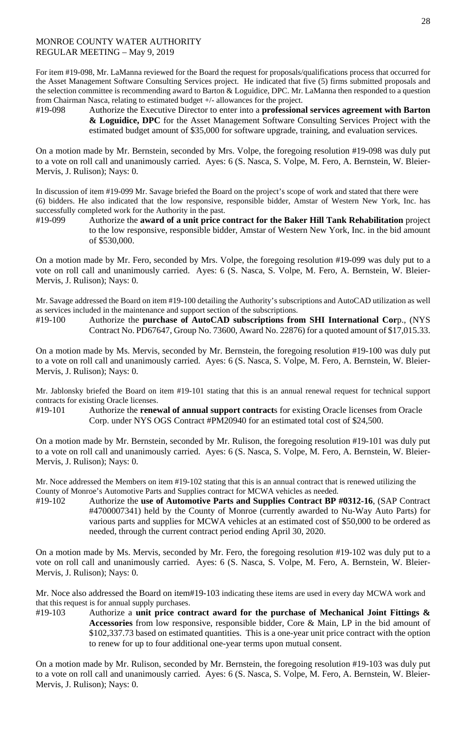## MONROE COUNTY WATER AUTHORITY REGULAR MEETING – May 9, 2019

For item #19-098, Mr. LaManna reviewed for the Board the request for proposals/qualifications process that occurred for the Asset Management Software Consulting Services project. He indicated that five (5) firms submitted proposals and the selection committee is recommending award to Barton & Loguidice, DPC. Mr. LaManna then responded to a question from Chairman Nasca, relating to estimated budget +/- allowances for the project.

#19-098 Authorize the Executive Director to enter into a **professional services agreement with Barton & Loguidice, DPC** for the Asset Management Software Consulting Services Project with the estimated budget amount of \$35,000 for software upgrade, training, and evaluation services.

On a motion made by Mr. Bernstein, seconded by Mrs. Volpe, the foregoing resolution #19-098 was duly put to a vote on roll call and unanimously carried. Ayes: 6 (S. Nasca, S. Volpe, M. Fero, A. Bernstein, W. Bleier-Mervis, J. Rulison); Nays: 0.

In discussion of item #19-099 Mr. Savage briefed the Board on the project's scope of work and stated that there were (6) bidders. He also indicated that the low responsive, responsible bidder, Amstar of Western New York, Inc. has successfully completed work for the Authority in the past.

On a motion made by Mr. Fero, seconded by Mrs. Volpe, the foregoing resolution #19-099 was duly put to a vote on roll call and unanimously carried. Ayes: 6 (S. Nasca, S. Volpe, M. Fero, A. Bernstein, W. Bleier-Mervis, J. Rulison); Nays: 0.

Mr. Savage addressed the Board on item #19-100 detailing the Authority's subscriptions and AutoCAD utilization as well as services included in the maintenance and support section of the subscriptions.

#19-100 Authorize the **purchase of AutoCAD subscriptions from SHI International Cor**p., (NYS Contract No. PD67647, Group No. 73600, Award No. 22876) for a quoted amount of \$17,015.33.

On a motion made by Ms. Mervis, seconded by Mr. Bernstein, the foregoing resolution #19-100 was duly put to a vote on roll call and unanimously carried. Ayes: 6 (S. Nasca, S. Volpe, M. Fero, A. Bernstein, W. Bleier-Mervis, J. Rulison); Nays: 0.

Mr. Jablonsky briefed the Board on item #19-101 stating that this is an annual renewal request for technical support contracts for existing Oracle licenses.

#19-101 Authorize the **renewal of annual support contract**s for existing Oracle licenses from Oracle Corp. under NYS OGS Contract #PM20940 for an estimated total cost of \$24,500.

On a motion made by Mr. Bernstein, seconded by Mr. Rulison, the foregoing resolution #19-101 was duly put to a vote on roll call and unanimously carried. Ayes: 6 (S. Nasca, S. Volpe, M. Fero, A. Bernstein, W. Bleier-Mervis, J. Rulison); Nays: 0.

Mr. Noce addressed the Members on item #19-102 stating that this is an annual contract that is renewed utilizing the County of Monroe's Automotive Parts and Supplies contract for MCWA vehicles as needed.

#19-102 Authorize the **use of Automotive Parts and Supplies Contract BP #0312-16**, (SAP Contract #4700007341) held by the County of Monroe (currently awarded to Nu-Way Auto Parts) for various parts and supplies for MCWA vehicles at an estimated cost of \$50,000 to be ordered as needed, through the current contract period ending April 30, 2020.

On a motion made by Ms. Mervis, seconded by Mr. Fero, the foregoing resolution #19-102 was duly put to a vote on roll call and unanimously carried. Ayes: 6 (S. Nasca, S. Volpe, M. Fero, A. Bernstein, W. Bleier-Mervis, J. Rulison); Nays: 0.

Mr. Noce also addressed the Board on item#19-103 indicating these items are used in every day MCWA work and that this request is for annual supply purchases.

#19-103 Authorize a **unit price contract award for the purchase of Mechanical Joint Fittings & Accessories** from low responsive, responsible bidder, Core & Main, LP in the bid amount of \$102,337.73 based on estimated quantities. This is a one-year unit price contract with the option to renew for up to four additional one-year terms upon mutual consent.

On a motion made by Mr. Rulison, seconded by Mr. Bernstein, the foregoing resolution #19-103 was duly put to a vote on roll call and unanimously carried. Ayes: 6 (S. Nasca, S. Volpe, M. Fero, A. Bernstein, W. Bleier-Mervis, J. Rulison); Nays: 0.

<sup>#19-099</sup> Authorize the **award of a unit price contract for the Baker Hill Tank Rehabilitation** project to the low responsive, responsible bidder, Amstar of Western New York, Inc. in the bid amount of \$530,000.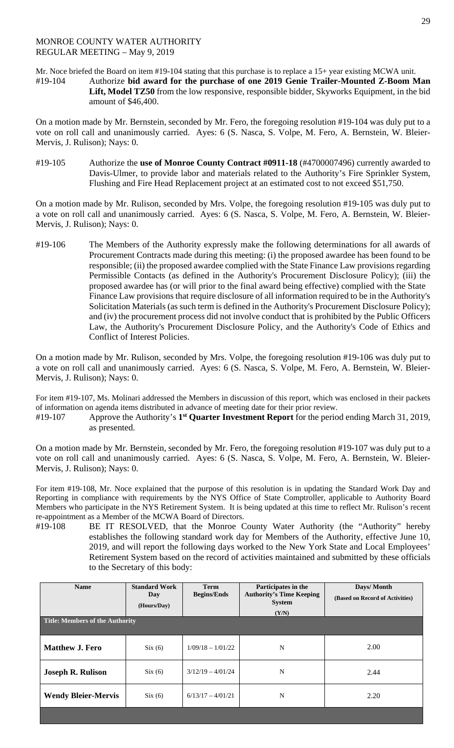### MONROE COUNTY WATER AUTHORITY REGULAR MEETING – May 9, 2019

Mr. Noce briefed the Board on item #19-104 stating that this purchase is to replace a 15+ year existing MCWA unit.

#19-104 Authorize **bid award for the purchase of one 2019 Genie Trailer-Mounted Z-Boom Man Lift, Model TZ50** from the low responsive, responsible bidder, Skyworks Equipment, in the bid amount of \$46,400.

On a motion made by Mr. Bernstein, seconded by Mr. Fero, the foregoing resolution #19-104 was duly put to a vote on roll call and unanimously carried. Ayes: 6 (S. Nasca, S. Volpe, M. Fero, A. Bernstein, W. Bleier-Mervis, J. Rulison); Nays: 0.

#19-105 Authorize the **use of Monroe County Contract #0911-18** (#4700007496) currently awarded to Davis-Ulmer, to provide labor and materials related to the Authority's Fire Sprinkler System, Flushing and Fire Head Replacement project at an estimated cost to not exceed \$51,750.

On a motion made by Mr. Rulison, seconded by Mrs. Volpe, the foregoing resolution #19-105 was duly put to a vote on roll call and unanimously carried. Ayes: 6 (S. Nasca, S. Volpe, M. Fero, A. Bernstein, W. Bleier-Mervis, J. Rulison); Nays: 0.

#19-106 The Members of the Authority expressly make the following determinations for all awards of Procurement Contracts made during this meeting: (i) the proposed awardee has been found to be responsible; (ii) the proposed awardee complied with the State Finance Law provisions regarding Permissible Contacts (as defined in the Authority's Procurement Disclosure Policy); (iii) the proposed awardee has (or will prior to the final award being effective) complied with the State Finance Law provisions that require disclosure of all information required to be in the Authority's Solicitation Materials (as such term is defined in the Authority's Procurement Disclosure Policy); and (iv) the procurement process did not involve conduct that is prohibited by the Public Officers Law, the Authority's Procurement Disclosure Policy, and the Authority's Code of Ethics and Conflict of Interest Policies.

On a motion made by Mr. Rulison, seconded by Mrs. Volpe, the foregoing resolution #19-106 was duly put to a vote on roll call and unanimously carried. Ayes: 6 (S. Nasca, S. Volpe, M. Fero, A. Bernstein, W. Bleier-Mervis, J. Rulison); Nays: 0.

For item #19-107, Ms. Molinari addressed the Members in discussion of this report, which was enclosed in their packets of information on agenda items distributed in advance of meeting date for their prior review.

#19-107 Approve the Authority's **1st Quarter Investment Report** for the period ending March 31, 2019, as presented.

On a motion made by Mr. Bernstein, seconded by Mr. Fero, the foregoing resolution #19-107 was duly put to a vote on roll call and unanimously carried. Ayes: 6 (S. Nasca, S. Volpe, M. Fero, A. Bernstein, W. Bleier-Mervis, J. Rulison); Nays: 0.

For item #19-108, Mr. Noce explained that the purpose of this resolution is in updating the Standard Work Day and Reporting in compliance with requirements by the NYS Office of State Comptroller, applicable to Authority Board Members who participate in the NYS Retirement System. It is being updated at this time to reflect Mr. Rulison's recent re-appointment as a Member of the MCWA Board of Directors.

#19-108 BE IT RESOLVED, that the Monroe County Water Authority (the "Authority" hereby establishes the following standard work day for Members of the Authority, effective June 10, 2019, and will report the following days worked to the New York State and Local Employees' Retirement System based on the record of activities maintained and submitted by these officials to the Secretary of this body:

| <b>Name</b>                            | <b>Standard Work</b><br>Day<br>(Hours/Day) | <b>Term</b><br><b>Begins/Ends</b> | Participates in the<br><b>Authority's Time Keeping</b><br><b>System</b><br>(Y/N) | Days/Month<br>(Based on Record of Activities) |
|----------------------------------------|--------------------------------------------|-----------------------------------|----------------------------------------------------------------------------------|-----------------------------------------------|
| <b>Title: Members of the Authority</b> |                                            |                                   |                                                                                  |                                               |
| <b>Matthew J. Fero</b>                 | Six(6)                                     | $1/09/18 - 1/01/22$               | N                                                                                | 2.00                                          |
| <b>Joseph R. Rulison</b>               | Six(6)                                     | $3/12/19 - 4/01/24$               | N                                                                                | 2.44                                          |
| <b>Wendy Bleier-Mervis</b>             | Six(6)                                     | $6/13/17 - 4/01/21$               | N                                                                                | 2.20                                          |